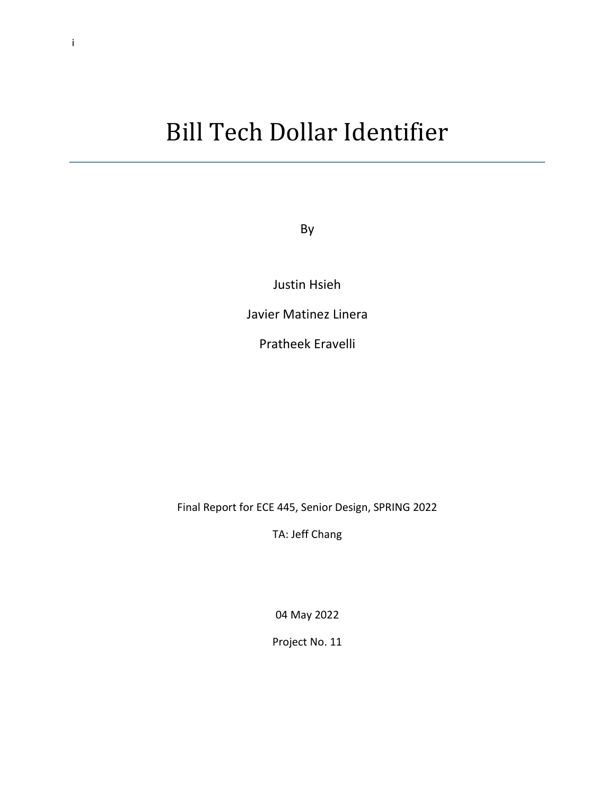# Bill Tech Dollar Identifier

By

Justin Hsieh

Javier Matinez Linera

Pratheek Eravelli

Final Report for ECE 445, Senior Design, SPRING 2022

TA: Jeff Chang

04 May 2022

Project No. 11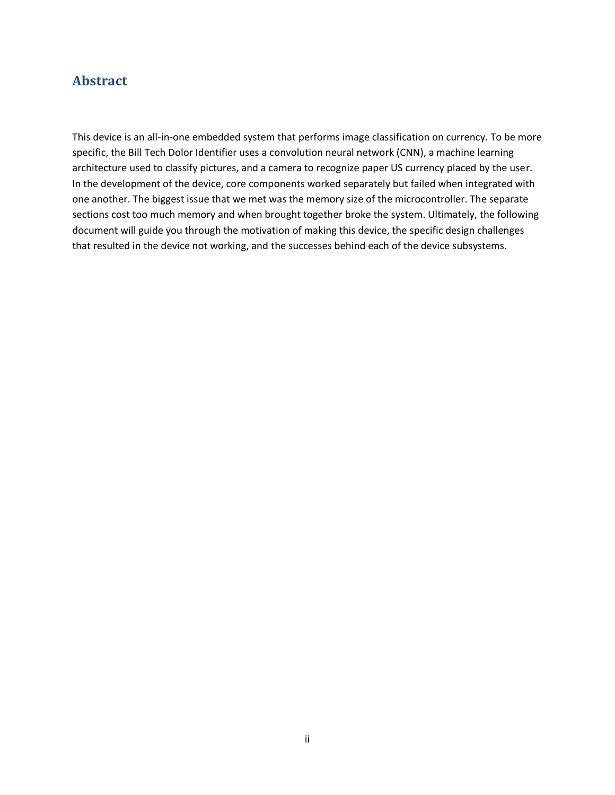### **Abstract**

This device is an all-in-one embedded system that performs image classification on currency. To be more specific, the Bill Tech Dolor Identifier uses a convolution neural network (CNN), a machine learning architecture used to classify pictures, and a camera to recognize paper US currency placed by the user. In the development of the device, core components worked separately but failed when integrated with one another. The biggest issue that we met was the memory size of the microcontroller. The separate sections cost too much memory and when brought together broke the system. Ultimately, the following document will guide you through the motivation of making this device, the specific design challenges that resulted in the device not working, and the successes behind each of the device subsystems.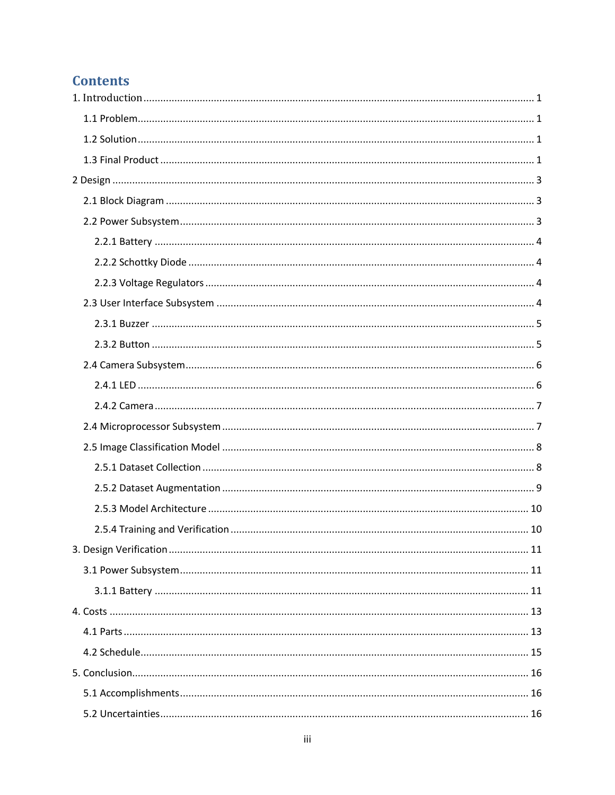## **Contents**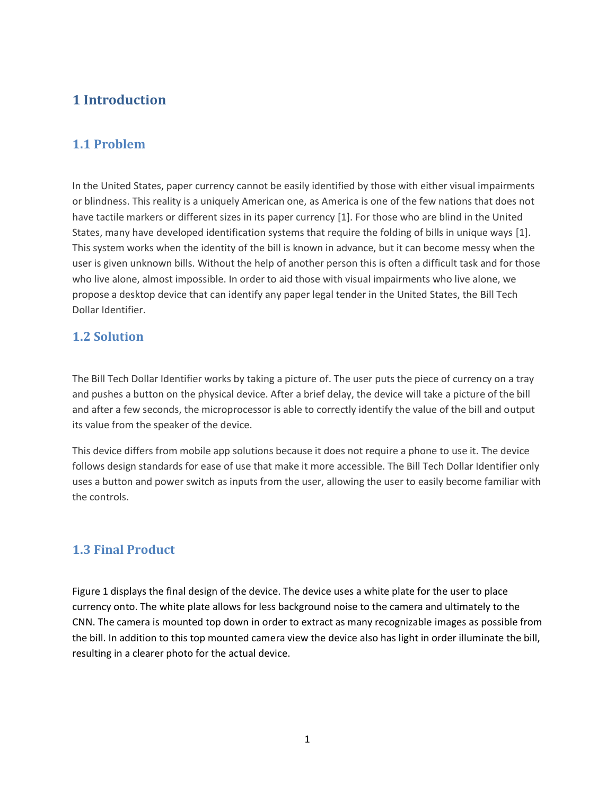### <span id="page-4-0"></span>**1 Introduction**

### <span id="page-4-1"></span>**1.1 Problem**

In the United States, paper currency cannot be easily identified by those with either visual impairments or blindness. This reality is a uniquely American one, as America is one of the few nations that does not have tactile markers or different sizes in its paper currency [1]. For those who are blind in the United States, many have developed identification systems that require the folding of bills in unique ways [1]. This system works when the identity of the bill is known in advance, but it can become messy when the user is given unknown bills. Without the help of another person this is often a difficult task and for those who live alone, almost impossible. In order to aid those with visual impairments who live alone, we propose a desktop device that can identify any paper legal tender in the United States, the Bill Tech Dollar Identifier.

### <span id="page-4-2"></span>**1.2 Solution**

The Bill Tech Dollar Identifier works by taking a picture of. The user puts the piece of currency on a tray and pushes a button on the physical device. After a brief delay, the device will take a picture of the bill and after a few seconds, the microprocessor is able to correctly identify the value of the bill and output its value from the speaker of the device.

This device differs from mobile app solutions because it does not require a phone to use it. The device follows design standards for ease of use that make it more accessible. The Bill Tech Dollar Identifier only uses a button and power switch as inputs from the user, allowing the user to easily become familiar with the controls.

### <span id="page-4-3"></span>**1.3 Final Product**

Figure 1 displays the final design of the device. The device uses a white plate for the user to place currency onto. The white plate allows for less background noise to the camera and ultimately to the CNN. The camera is mounted top down in order to extract as many recognizable images as possible from the bill. In addition to this top mounted camera view the device also has light in order illuminate the bill, resulting in a clearer photo for the actual device.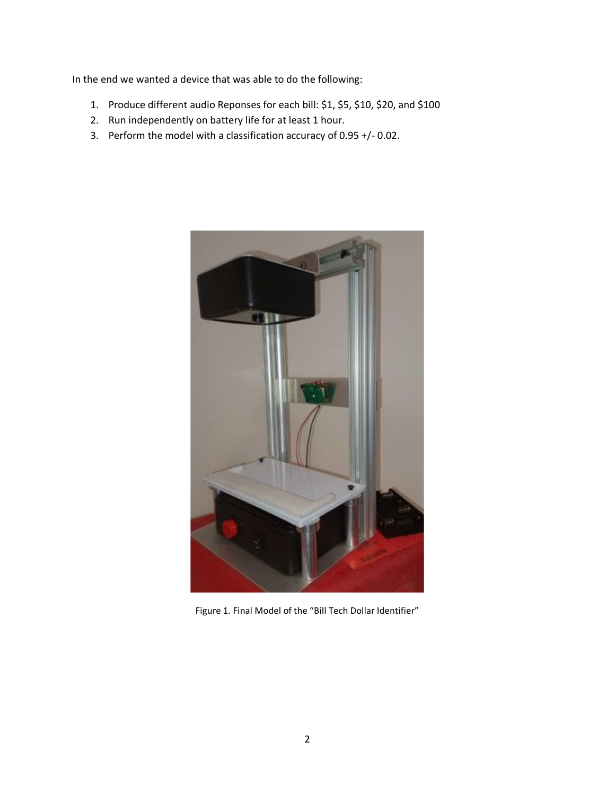In the end we wanted a device that was able to do the following:

- 1. Produce different audio Reponses for each bill: \$1, \$5, \$10, \$20, and \$100
- 2. Run independently on battery life for at least 1 hour.
- 3. Perform the model with a classification accuracy of 0.95 +/- 0.02.



Figure 1. Final Model of the "Bill Tech Dollar Identifier"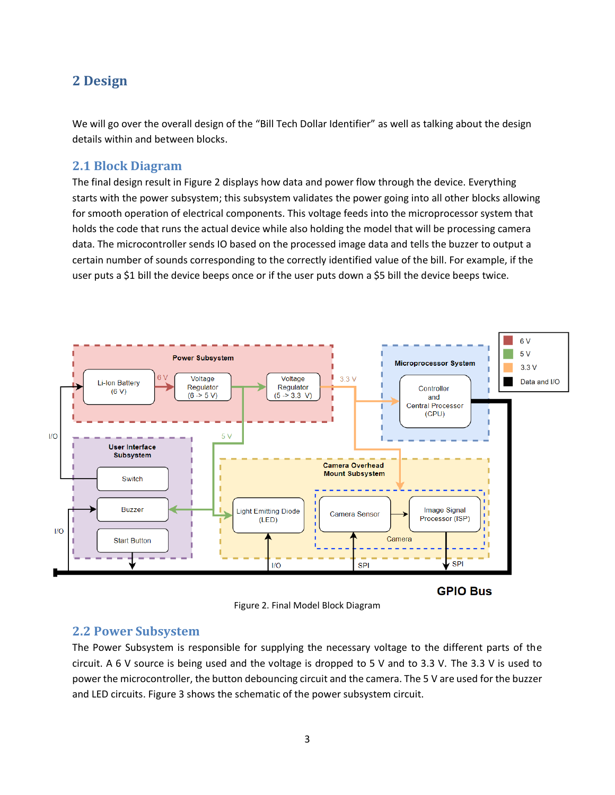### <span id="page-6-0"></span>**2 Design**

We will go over the overall design of the "Bill Tech Dollar Identifier" as well as talking about the design details within and between blocks.

### <span id="page-6-1"></span>**2.1 Block Diagram**

The final design result in Figure 2 displays how data and power flow through the device. Everything starts with the power subsystem; this subsystem validates the power going into all other blocks allowing for smooth operation of electrical components. This voltage feeds into the microprocessor system that holds the code that runs the actual device while also holding the model that will be processing camera data. The microcontroller sends IO based on the processed image data and tells the buzzer to output a certain number of sounds corresponding to the correctly identified value of the bill. For example, if the user puts a \$1 bill the device beeps once or if the user puts down a \$5 bill the device beeps twice.



Figure 2. Final Model Block Diagram

#### <span id="page-6-2"></span>**2.2 Power Subsystem**

The Power Subsystem is responsible for supplying the necessary voltage to the different parts of the circuit. A 6 V source is being used and the voltage is dropped to 5 V and to 3.3 V. The 3.3 V is used to power the microcontroller, the button debouncing circuit and the camera. The 5 V are used for the buzzer and LED circuits. Figure 3 shows the schematic of the power subsystem circuit.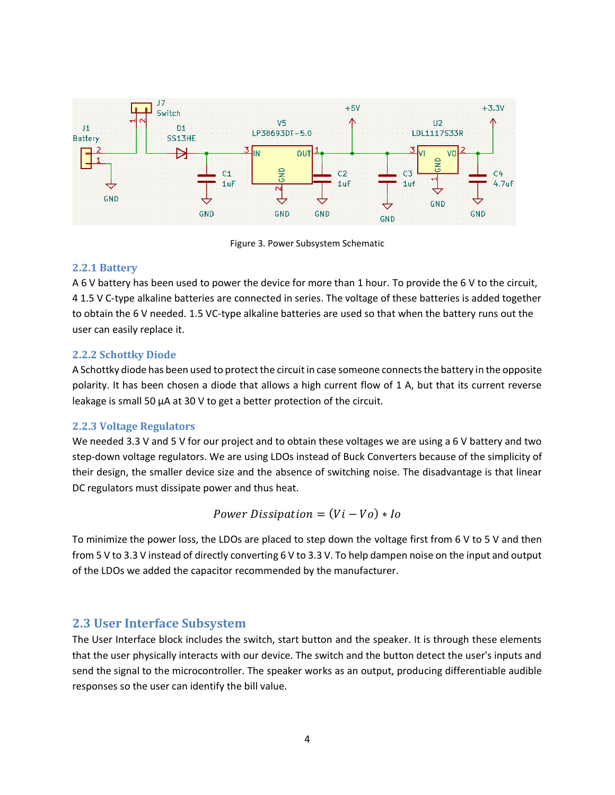

Figure 3. Power Subsystem Schematic

#### <span id="page-7-0"></span>**2.2.1 Battery**

A 6 V battery has been used to power the device for more than 1 hour. To provide the 6 V to the circuit, 4 1.5 V C-type alkaline batteries are connected in series. The voltage of these batteries is added together to obtain the 6 V needed. 1.5 VC-type alkaline batteries are used so that when the battery runs out the user can easily replace it.

#### <span id="page-7-1"></span>**2.2.2 Schottky Diode**

A Schottky diode has been used to protect the circuit in case someone connects the battery in the opposite polarity. It has been chosen a diode that allows a high current flow of 1 A, but that its current reverse leakage is small 50 µA at 30 V to get a better protection of the circuit.

#### <span id="page-7-2"></span>**2.2.3 Voltage Regulators**

We needed 3.3 V and 5 V for our project and to obtain these voltages we are using a 6 V battery and two step-down voltage regulators. We are using LDOs instead of Buck Converters because of the simplicity of their design, the smaller device size and the absence of switching noise. The disadvantage is that linear DC regulators must dissipate power and thus heat.

Power Dissipation =  $(Vi - Vo) * Io$ 

To minimize the power loss, the LDOs are placed to step down the voltage first from 6 V to 5 V and then from 5 V to 3.3 V instead of directly converting 6 V to 3.3 V. To help dampen noise on the input and output of the LDOs we added the capacitor recommended by the manufacturer.

### <span id="page-7-3"></span>**2.3 User Interface Subsystem**

The User Interface block includes the switch, start button and the speaker. It is through these elements that the user physically interacts with our device. The switch and the button detect the user's inputs and send the signal to the microcontroller. The speaker works as an output, producing differentiable audible responses so the user can identify the bill value.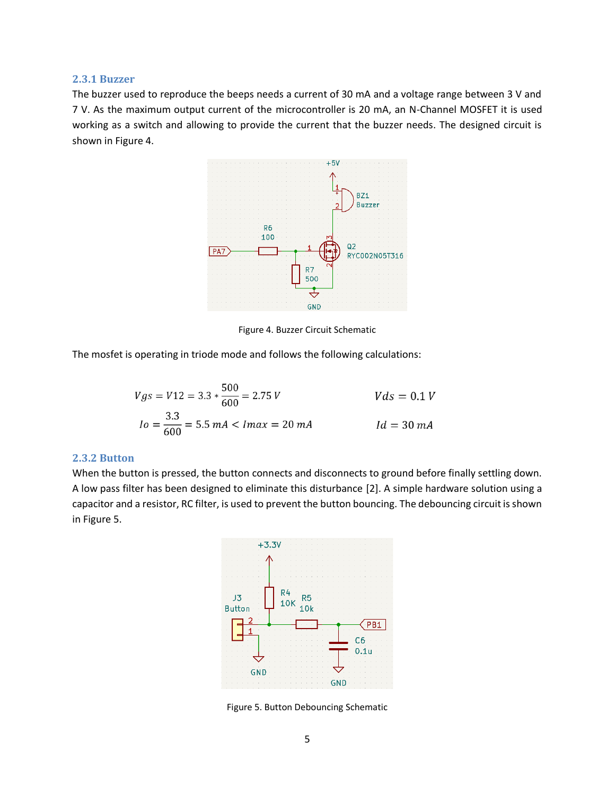#### <span id="page-8-0"></span>**2.3.1 Buzzer**

The buzzer used to reproduce the beeps needs a current of 30 mA and a voltage range between 3 V and 7 V. As the maximum output current of the microcontroller is 20 mA, an N-Channel MOSFET it is used working as a switch and allowing to provide the current that the buzzer needs. The designed circuit is shown in Figure 4.



Figure 4. Buzzer Circuit Schematic

The mosfet is operating in triode mode and follows the following calculations:

$$
Vgs = V12 = 3.3 * \frac{500}{600} = 2.75 V
$$
  
\n
$$
Io = \frac{3.3}{600} = 5.5 mA < Imax = 20 mA
$$
  
\n
$$
Id = 30 mA
$$

#### <span id="page-8-1"></span>**2.3.2 Button**

When the button is pressed, the button connects and disconnects to ground before finally settling down. A low pass filter has been designed to eliminate this disturbance [2]. A simple hardware solution using a capacitor and a resistor, RC filter, is used to prevent the button bouncing. The debouncing circuit is shown in Figure 5.



Figure 5. Button Debouncing Schematic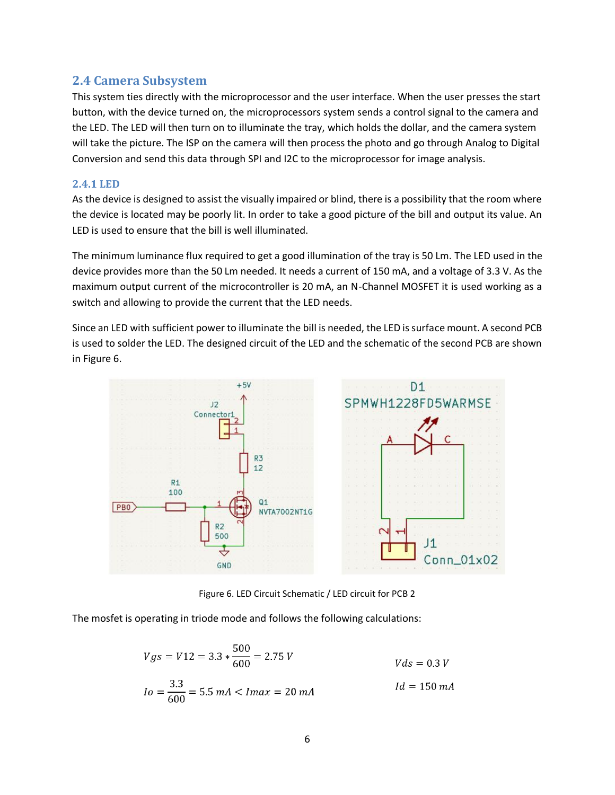### <span id="page-9-0"></span>**2.4 Camera Subsystem**

This system ties directly with the microprocessor and the user interface. When the user presses the start button, with the device turned on, the microprocessors system sends a control signal to the camera and the LED. The LED will then turn on to illuminate the tray, which holds the dollar, and the camera system will take the picture. The ISP on the camera will then process the photo and go through Analog to Digital Conversion and send this data through SPI and I2C to the microprocessor for image analysis.

#### <span id="page-9-1"></span>**2.4.1 LED**

As the device is designed to assist the visually impaired or blind, there is a possibility that the room where the device is located may be poorly lit. In order to take a good picture of the bill and output its value. An LED is used to ensure that the bill is well illuminated.

The minimum luminance flux required to get a good illumination of the tray is 50 Lm. The LED used in the device provides more than the 50 Lm needed. It needs a current of 150 mA, and a voltage of 3.3 V. As the maximum output current of the microcontroller is 20 mA, an N-Channel MOSFET it is used working as a switch and allowing to provide the current that the LED needs.

Since an LED with sufficient power to illuminate the bill is needed, the LED is surface mount. A second PCB is used to solder the LED. The designed circuit of the LED and the schematic of the second PCB are shown in Figure 6.



Figure 6. LED Circuit Schematic / LED circuit for PCB 2

The mosfet is operating in triode mode and follows the following calculations:

$$
Vgs = V12 = 3.3 * \frac{500}{600} = 2.75 V
$$
  
\n
$$
Io = \frac{3.3}{600} = 5.5 mA < Imax = 20 mA
$$
  
\n
$$
Id = 150 mA
$$
  
\n
$$
Id = 150 mA
$$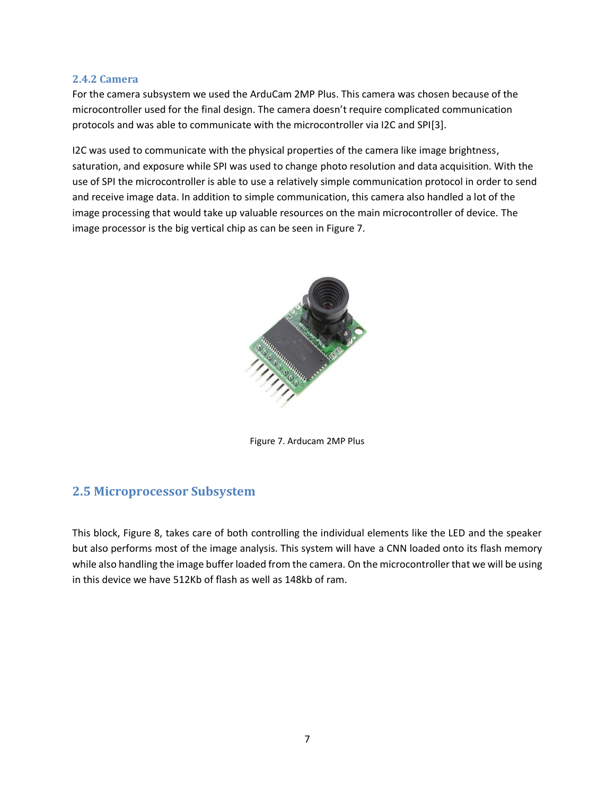#### <span id="page-10-0"></span>**2.4.2 Camera**

For the camera subsystem we used the ArduCam 2MP Plus. This camera was chosen because of the microcontroller used for the final design. The camera doesn't require complicated communication protocols and was able to communicate with the microcontroller via I2C and SPI[3].

I2C was used to communicate with the physical properties of the camera like image brightness, saturation, and exposure while SPI was used to change photo resolution and data acquisition. With the use of SPI the microcontroller is able to use a relatively simple communication protocol in order to send and receive image data. In addition to simple communication, this camera also handled a lot of the image processing that would take up valuable resources on the main microcontroller of device. The image processor is the big vertical chip as can be seen in Figure 7.



Figure 7. Arducam 2MP Plus

### <span id="page-10-1"></span>**2.5 Microprocessor Subsystem**

This block, Figure 8, takes care of both controlling the individual elements like the LED and the speaker but also performs most of the image analysis. This system will have a CNN loaded onto its flash memory while also handling the image buffer loaded from the camera. On the microcontroller that we will be using in this device we have 512Kb of flash as well as 148kb of ram.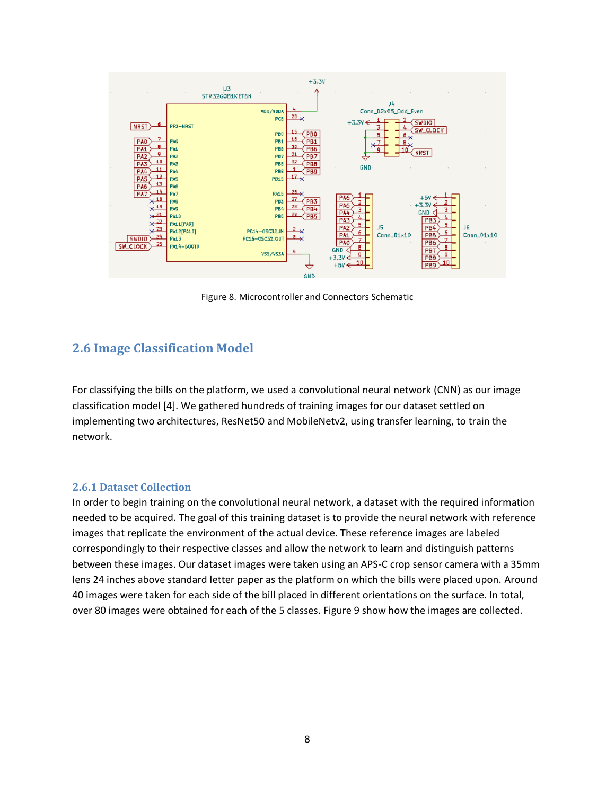

Figure 8. Microcontroller and Connectors Schematic

### <span id="page-11-0"></span>**2.6 Image Classification Model**

For classifying the bills on the platform, we used a convolutional neural network (CNN) as our image classification model [4]. We gathered hundreds of training images for our dataset settled on implementing two architectures, ResNet50 and MobileNetv2, using transfer learning, to train the network.

#### <span id="page-11-1"></span>**2.6.1 Dataset Collection**

In order to begin training on the convolutional neural network, a dataset with the required information needed to be acquired. The goal of this training dataset is to provide the neural network with reference images that replicate the environment of the actual device. These reference images are labeled correspondingly to their respective classes and allow the network to learn and distinguish patterns between these images. Our dataset images were taken using an APS-C crop sensor camera with a 35mm lens 24 inches above standard letter paper as the platform on which the bills were placed upon. Around 40 images were taken for each side of the bill placed in different orientations on the surface. In total, over 80 images were obtained for each of the 5 classes. Figure 9 show how the images are collected.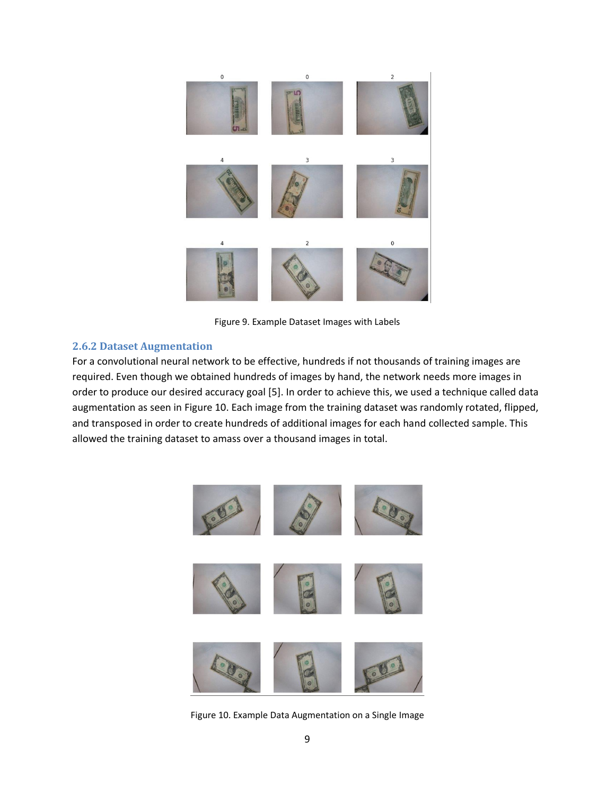

Figure 9. Example Dataset Images with Labels

#### <span id="page-12-0"></span>**2.6.2 Dataset Augmentation**

For a convolutional neural network to be effective, hundreds if not thousands of training images are required. Even though we obtained hundreds of images by hand, the network needs more images in order to produce our desired accuracy goal [5]. In order to achieve this, we used a technique called data augmentation as seen in Figure 10. Each image from the training dataset was randomly rotated, flipped, and transposed in order to create hundreds of additional images for each hand collected sample. This allowed the training dataset to amass over a thousand images in total.



Figure 10. Example Data Augmentation on a Single Image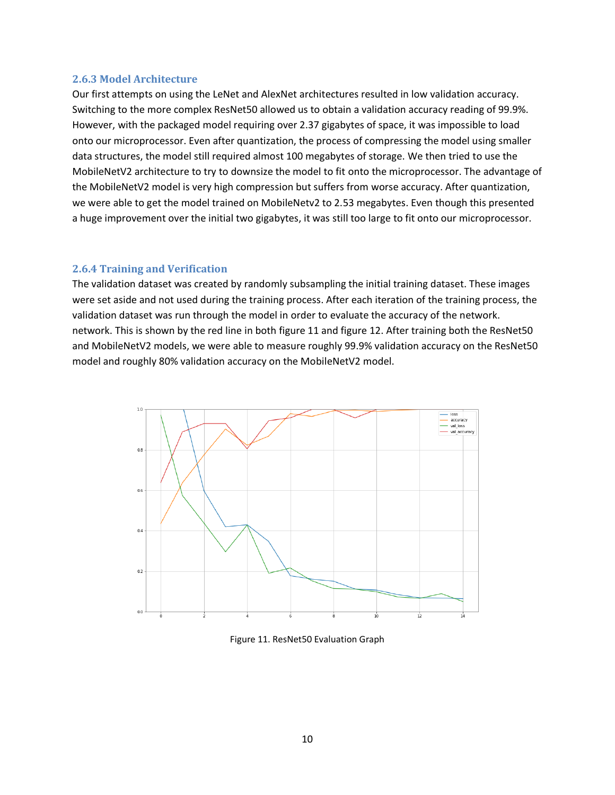#### <span id="page-13-0"></span>**2.6.3 Model Architecture**

Our first attempts on using the LeNet and AlexNet architectures resulted in low validation accuracy. Switching to the more complex ResNet50 allowed us to obtain a validation accuracy reading of 99.9%. However, with the packaged model requiring over 2.37 gigabytes of space, it was impossible to load onto our microprocessor. Even after quantization, the process of compressing the model using smaller data structures, the model still required almost 100 megabytes of storage. We then tried to use the MobileNetV2 architecture to try to downsize the model to fit onto the microprocessor. The advantage of the MobileNetV2 model is very high compression but suffers from worse accuracy. After quantization, we were able to get the model trained on MobileNetv2 to 2.53 megabytes. Even though this presented a huge improvement over the initial two gigabytes, it was still too large to fit onto our microprocessor.

#### <span id="page-13-1"></span>**2.6.4 Training and Verification**

The validation dataset was created by randomly subsampling the initial training dataset. These images were set aside and not used during the training process. After each iteration of the training process, the validation dataset was run through the model in order to evaluate the accuracy of the network. network. This is shown by the red line in both figure 11 and figure 12. After training both the ResNet50 and MobileNetV2 models, we were able to measure roughly 99.9% validation accuracy on the ResNet50 model and roughly 80% validation accuracy on the MobileNetV2 model.



Figure 11. ResNet50 Evaluation Graph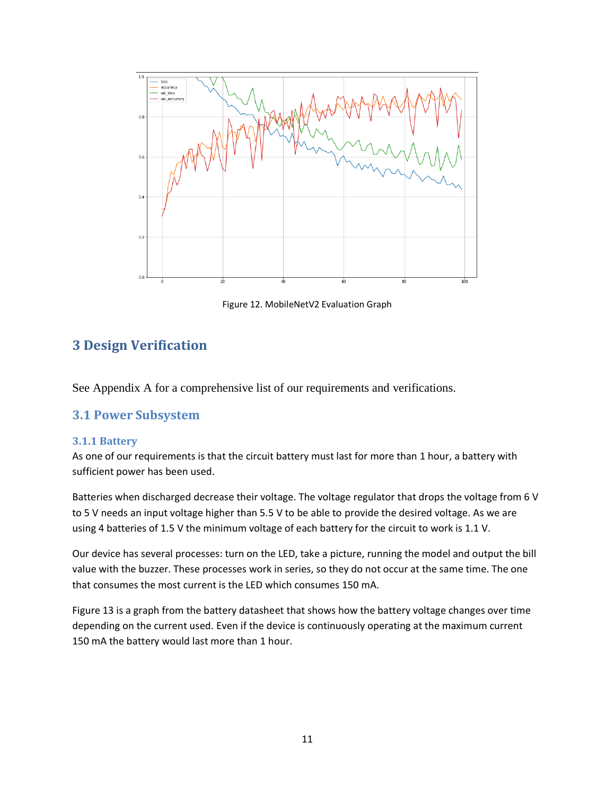

Figure 12. MobileNetV2 Evaluation Graph

### <span id="page-14-0"></span>**3 Design Verification**

See Appendix A for a comprehensive list of our requirements and verifications.

### <span id="page-14-1"></span>**3.1 Power Subsystem**

#### <span id="page-14-2"></span>**3.1.1 Battery**

As one of our requirements is that the circuit battery must last for more than 1 hour, a battery with sufficient power has been used.

Batteries when discharged decrease their voltage. The voltage regulator that drops the voltage from 6 V to 5 V needs an input voltage higher than 5.5 V to be able to provide the desired voltage. As we are using 4 batteries of 1.5 V the minimum voltage of each battery for the circuit to work is 1.1 V.

Our device has several processes: turn on the LED, take a picture, running the model and output the bill value with the buzzer. These processes work in series, so they do not occur at the same time. The one that consumes the most current is the LED which consumes 150 mA.

Figure 13 is a graph from the battery datasheet that shows how the battery voltage changes over time depending on the current used. Even if the device is continuously operating at the maximum current 150 mA the battery would last more than 1 hour.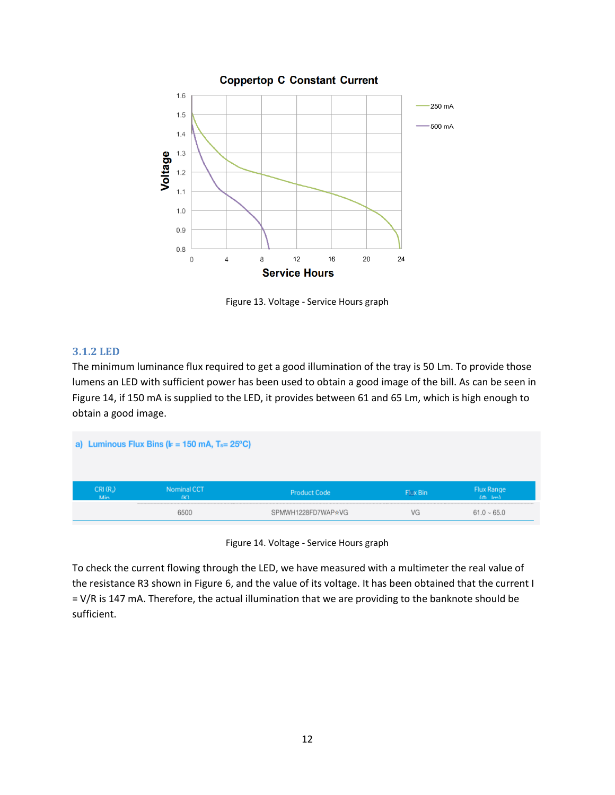

Figure 13. Voltage - Service Hours graph

#### **3.1.2 LED**

The minimum luminance flux required to get a good illumination of the tray is 50 Lm. To provide those lumens an LED with sufficient power has been used to obtain a good image of the bill. As can be seen in Figure 14, if 150 mA is supplied to the LED, it provides between 61 and 65 Lm, which is high enough to obtain a good image.

|                   | a) Luminous Flux Bins ( $k = 150$ mA, $T_s = 25^{\circ}C$ ) |                     |          |                                       |  |
|-------------------|-------------------------------------------------------------|---------------------|----------|---------------------------------------|--|
| $CRI(R_a)$<br>Min | Nominal CCT<br>(K)                                          | <b>Product Code</b> | Flux Bin | Flux Range<br>$(b)$ $\vert m \rangle$ |  |
|                   | 6500                                                        | SPMWH1228FD7WAP&VG  |          | $61.0 - 65.0$                         |  |

Figure 14. Voltage - Service Hours graph

To check the current flowing through the LED, we have measured with a multimeter the real value of the resistance R3 shown in Figure 6, and the value of its voltage. It has been obtained that the current I = V/R is 147 mA. Therefore, the actual illumination that we are providing to the banknote should be sufficient.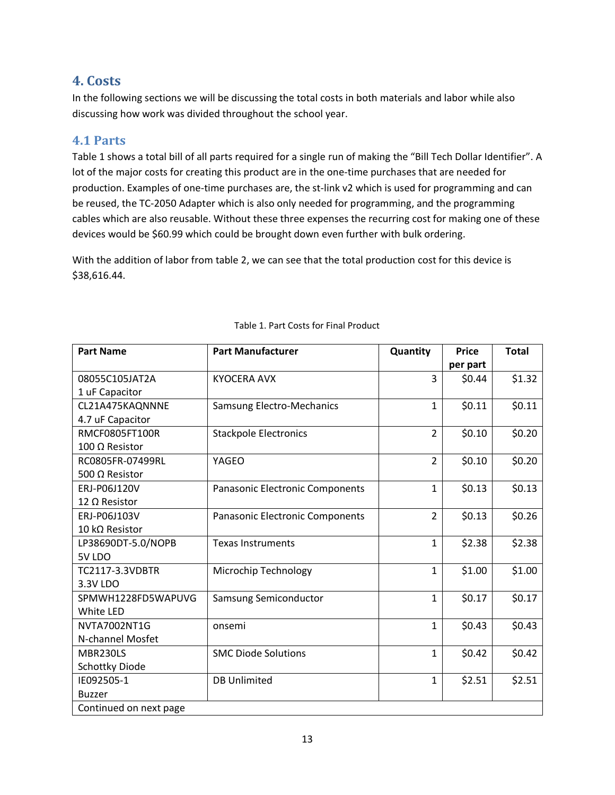### <span id="page-16-0"></span>**4. Costs**

In the following sections we will be discussing the total costs in both materials and labor while also discussing how work was divided throughout the school year.

### <span id="page-16-1"></span>**4.1 Parts**

Table 1 shows a total bill of all parts required for a single run of making the "Bill Tech Dollar Identifier". A lot of the major costs for creating this product are in the one-time purchases that are needed for production. Examples of one-time purchases are, the st-link v2 which is used for programming and can be reused, the TC-2050 Adapter which is also only needed for programming, and the programming cables which are also reusable. Without these three expenses the recurring cost for making one of these devices would be \$60.99 which could be brought down even further with bulk ordering.

With the addition of labor from table 2, we can see that the total production cost for this device is \$38,616.44.

| <b>Part Name</b>       | <b>Part Manufacturer</b>        | Quantity       | <b>Price</b> | <b>Total</b> |
|------------------------|---------------------------------|----------------|--------------|--------------|
|                        |                                 |                | per part     |              |
| 08055C105JAT2A         | <b>KYOCERA AVX</b>              | 3              | \$0.44       | \$1.32       |
| 1 uF Capacitor         |                                 |                |              |              |
| CL21A475KAQNNNE        | Samsung Electro-Mechanics       | $\mathbf{1}$   | \$0.11       | \$0.11       |
| 4.7 uF Capacitor       |                                 |                |              |              |
| <b>RMCF0805FT100R</b>  | <b>Stackpole Electronics</b>    | $\overline{2}$ | \$0.10       | \$0.20       |
| 100 Ω Resistor         |                                 |                |              |              |
| RC0805FR-07499RL       | YAGEO                           | $\overline{2}$ | \$0.10       | \$0.20       |
| 500 Q Resistor         |                                 |                |              |              |
| ERJ-P06J120V           | Panasonic Electronic Components | $\mathbf{1}$   | \$0.13       | \$0.13       |
| 12 Ω Resistor          |                                 |                |              |              |
| ERJ-P06J103V           | Panasonic Electronic Components | $\overline{2}$ | \$0.13       | \$0.26       |
| 10 kΩ Resistor         |                                 |                |              |              |
| LP38690DT-5.0/NOPB     | <b>Texas Instruments</b>        | $\mathbf{1}$   | \$2.38       | \$2.38       |
| 5V LDO                 |                                 |                |              |              |
| <b>TC2117-3.3VDBTR</b> | Microchip Technology            | $\mathbf{1}$   | \$1.00       | \$1.00       |
| 3.3V LDO               |                                 |                |              |              |
| SPMWH1228FD5WAPUVG     | Samsung Semiconductor           | $\mathbf{1}$   | \$0.17       | \$0.17       |
| White LED              |                                 |                |              |              |
| NVTA7002NT1G           | onsemi                          | $\mathbf{1}$   | \$0.43       | \$0.43       |
| N-channel Mosfet       |                                 |                |              |              |
| MBR230LS               | <b>SMC Diode Solutions</b>      | $\mathbf{1}$   | \$0.42       | \$0.42       |
| Schottky Diode         |                                 |                |              |              |
| IE092505-1             | <b>DB Unlimited</b>             | $\mathbf{1}$   | \$2.51       | \$2.51       |
| <b>Buzzer</b>          |                                 |                |              |              |
| Continued on next page |                                 |                |              |              |

#### Table 1. Part Costs for Final Product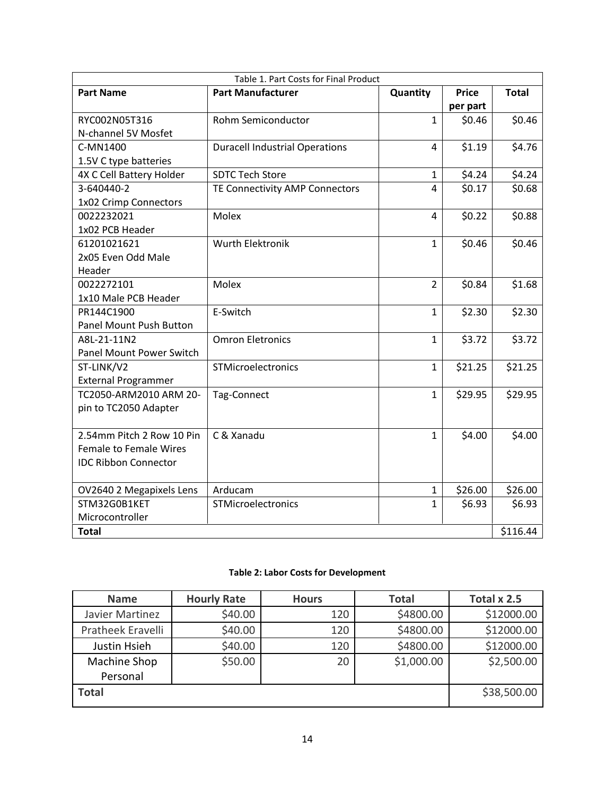| Table 1. Part Costs for Final Product |                                       |                |              |              |
|---------------------------------------|---------------------------------------|----------------|--------------|--------------|
| <b>Part Name</b>                      | <b>Part Manufacturer</b>              | Quantity       | <b>Price</b> | <b>Total</b> |
|                                       |                                       |                | per part     |              |
| RYC002N05T316                         | Rohm Semiconductor                    | $\mathbf{1}$   | \$0.46       | \$0.46       |
| N-channel 5V Mosfet                   |                                       |                |              |              |
| C-MN1400                              | <b>Duracell Industrial Operations</b> | 4              | \$1.19       | \$4.76       |
| 1.5V C type batteries                 |                                       |                |              |              |
| 4X C Cell Battery Holder              | <b>SDTC Tech Store</b>                | $\mathbf{1}$   | \$4.24       | \$4.24       |
| 3-640440-2                            | TE Connectivity AMP Connectors        | 4              | \$0.17       | \$0.68       |
| 1x02 Crimp Connectors                 |                                       |                |              |              |
| 0022232021                            | Molex                                 | 4              | \$0.22       | \$0.88       |
| 1x02 PCB Header                       |                                       |                |              |              |
| 61201021621                           | <b>Wurth Elektronik</b>               | $\mathbf{1}$   | \$0.46       | \$0.46       |
| 2x05 Even Odd Male                    |                                       |                |              |              |
| Header                                |                                       |                |              |              |
| 0022272101                            | Molex                                 | $\overline{2}$ | \$0.84       | \$1.68       |
| 1x10 Male PCB Header                  |                                       |                |              |              |
| PR144C1900                            | E-Switch                              | $\mathbf{1}$   | \$2.30       | \$2.30       |
| Panel Mount Push Button               |                                       |                |              |              |
| A8L-21-11N2                           | <b>Omron Eletronics</b>               | $\mathbf{1}$   | \$3.72       | \$3.72       |
| Panel Mount Power Switch              |                                       |                |              |              |
| ST-LINK/V2                            | STMicroelectronics                    | $\mathbf{1}$   | \$21.25      | \$21.25      |
| <b>External Programmer</b>            |                                       |                |              |              |
| TC2050-ARM2010 ARM 20-                | Tag-Connect                           | $\mathbf{1}$   | \$29.95      | \$29.95      |
| pin to TC2050 Adapter                 |                                       |                |              |              |
|                                       |                                       |                |              |              |
| 2.54mm Pitch 2 Row 10 Pin             | C & Xanadu                            | $\mathbf{1}$   | \$4.00       | \$4.00       |
| <b>Female to Female Wires</b>         |                                       |                |              |              |
| <b>IDC Ribbon Connector</b>           |                                       |                |              |              |
|                                       |                                       |                |              |              |
| OV2640 2 Megapixels Lens              | Arducam                               | $\mathbf{1}$   | \$26.00      | \$26.00      |
| STM32G0B1KET                          | STMicroelectronics                    | $\mathbf{1}$   | \$6.93       | \$6.93       |
| Microcontroller                       |                                       |                |              |              |
| <b>Total</b>                          |                                       |                |              | \$116.44     |

#### **Table 2: Labor Costs for Development**

| <b>Name</b>       | <b>Hourly Rate</b> | <b>Hours</b> | <b>Total</b> | Total x 2.5 |
|-------------------|--------------------|--------------|--------------|-------------|
| Javier Martinez   | \$40.00            | 120          | \$4800.00    | \$12000.00  |
| Pratheek Eravelli | \$40.00            | 120          | \$4800.00    | \$12000.00  |
| Justin Hsieh      | \$40.00            | 120          | \$4800.00    | \$12000.00  |
| Machine Shop      | \$50.00            | 20           | \$1,000.00   | \$2,500.00  |
| Personal          |                    |              |              |             |
| <b>Total</b>      |                    |              |              | \$38,500.00 |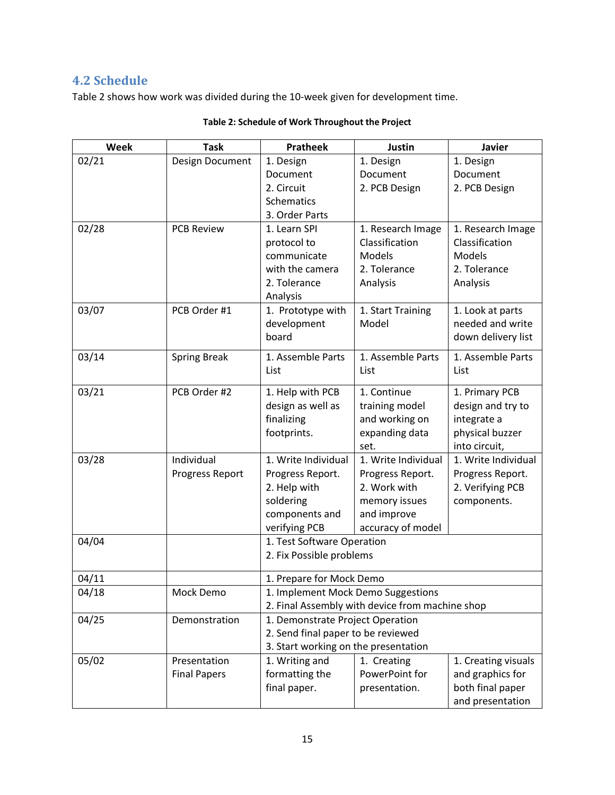### <span id="page-18-0"></span>**4.2 Schedule**

Table 2 shows how work was divided during the 10-week given for development time.

| Week  | <b>Task</b>         | <b>Pratheek</b>                      | <b>Justin</b>                                   | <b>Javier</b>       |
|-------|---------------------|--------------------------------------|-------------------------------------------------|---------------------|
| 02/21 | Design Document     | 1. Design                            | 1. Design                                       | 1. Design           |
|       |                     | Document                             | Document                                        | Document            |
|       |                     | 2. Circuit                           | 2. PCB Design                                   | 2. PCB Design       |
|       |                     | Schematics                           |                                                 |                     |
|       |                     | 3. Order Parts                       |                                                 |                     |
| 02/28 | <b>PCB Review</b>   | 1. Learn SPI                         | 1. Research Image                               | 1. Research Image   |
|       |                     | protocol to                          | Classification                                  | Classification      |
|       |                     | communicate                          | <b>Models</b>                                   | <b>Models</b>       |
|       |                     | with the camera                      | 2. Tolerance                                    | 2. Tolerance        |
|       |                     | 2. Tolerance                         | Analysis                                        | Analysis            |
|       |                     | Analysis                             |                                                 |                     |
| 03/07 | PCB Order #1        | 1. Prototype with                    | 1. Start Training                               | 1. Look at parts    |
|       |                     | development                          | Model                                           | needed and write    |
|       |                     | board                                |                                                 | down delivery list  |
| 03/14 | <b>Spring Break</b> | 1. Assemble Parts                    | 1. Assemble Parts                               | 1. Assemble Parts   |
|       |                     | List                                 | List                                            | List                |
|       |                     |                                      |                                                 |                     |
| 03/21 | PCB Order #2        | 1. Help with PCB                     | 1. Continue                                     | 1. Primary PCB      |
|       |                     | design as well as                    | training model                                  | design and try to   |
|       |                     | finalizing                           | and working on                                  | integrate a         |
|       |                     | footprints.                          | expanding data                                  | physical buzzer     |
|       |                     |                                      | set.                                            | into circuit,       |
| 03/28 | Individual          | 1. Write Individual                  | 1. Write Individual                             | 1. Write Individual |
|       | Progress Report     | Progress Report.                     | Progress Report.                                | Progress Report.    |
|       |                     | 2. Help with                         | 2. Work with                                    | 2. Verifying PCB    |
|       |                     | soldering                            | memory issues<br>and improve                    | components.         |
|       |                     | components and<br>verifying PCB      | accuracy of model                               |                     |
| 04/04 |                     | 1. Test Software Operation           |                                                 |                     |
|       |                     | 2. Fix Possible problems             |                                                 |                     |
|       |                     |                                      |                                                 |                     |
| 04/11 |                     | 1. Prepare for Mock Demo             |                                                 |                     |
| 04/18 | Mock Demo           | 1. Implement Mock Demo Suggestions   |                                                 |                     |
|       |                     |                                      | 2. Final Assembly with device from machine shop |                     |
| 04/25 | Demonstration       | 1. Demonstrate Project Operation     |                                                 |                     |
|       |                     | 2. Send final paper to be reviewed   |                                                 |                     |
|       |                     | 3. Start working on the presentation |                                                 |                     |
| 05/02 | Presentation        | 1. Writing and                       | 1. Creating                                     | 1. Creating visuals |
|       | <b>Final Papers</b> | formatting the                       | PowerPoint for                                  | and graphics for    |
|       |                     | final paper.                         | presentation.                                   | both final paper    |
|       |                     |                                      |                                                 | and presentation    |

#### **Table 2: Schedule of Work Throughout the Project**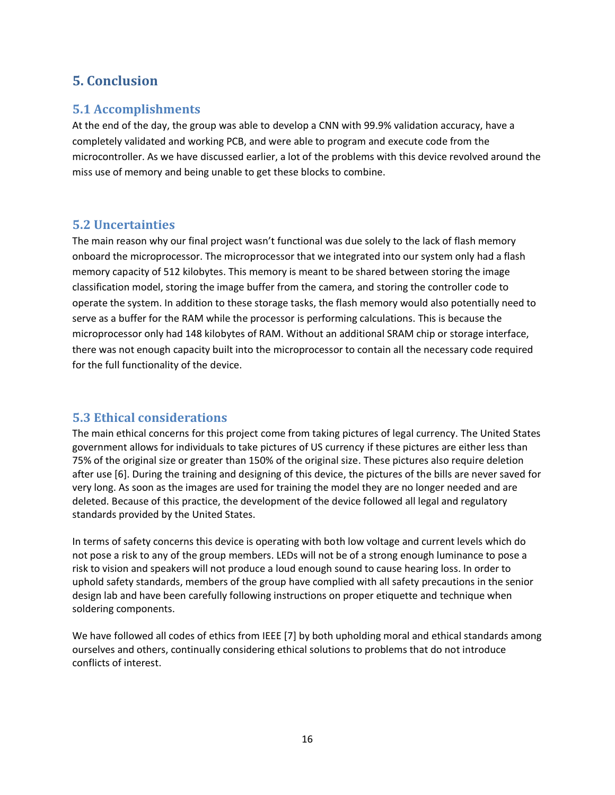### <span id="page-19-0"></span>**5. Conclusion**

### <span id="page-19-1"></span>**5.1 Accomplishments**

At the end of the day, the group was able to develop a CNN with 99.9% validation accuracy, have a completely validated and working PCB, and were able to program and execute code from the microcontroller. As we have discussed earlier, a lot of the problems with this device revolved around the miss use of memory and being unable to get these blocks to combine.

### <span id="page-19-2"></span>**5.2 Uncertainties**

The main reason why our final project wasn't functional was due solely to the lack of flash memory onboard the microprocessor. The microprocessor that we integrated into our system only had a flash memory capacity of 512 kilobytes. This memory is meant to be shared between storing the image classification model, storing the image buffer from the camera, and storing the controller code to operate the system. In addition to these storage tasks, the flash memory would also potentially need to serve as a buffer for the RAM while the processor is performing calculations. This is because the microprocessor only had 148 kilobytes of RAM. Without an additional SRAM chip or storage interface, there was not enough capacity built into the microprocessor to contain all the necessary code required for the full functionality of the device.

### <span id="page-19-3"></span>**5.3 Ethical considerations**

The main ethical concerns for this project come from taking pictures of legal currency. The United States government allows for individuals to take pictures of US currency if these pictures are either less than 75% of the original size or greater than 150% of the original size. These pictures also require deletion after use [6]. During the training and designing of this device, the pictures of the bills are never saved for very long. As soon as the images are used for training the model they are no longer needed and are deleted. Because of this practice, the development of the device followed all legal and regulatory standards provided by the United States.

In terms of safety concerns this device is operating with both low voltage and current levels which do not pose a risk to any of the group members. LEDs will not be of a strong enough luminance to pose a risk to vision and speakers will not produce a loud enough sound to cause hearing loss. In order to uphold safety standards, members of the group have complied with all safety precautions in the senior design lab and have been carefully following instructions on proper etiquette and technique when soldering components.

We have followed all codes of ethics from IEEE [7] by both upholding moral and ethical standards among ourselves and others, continually considering ethical solutions to problems that do not introduce conflicts of interest.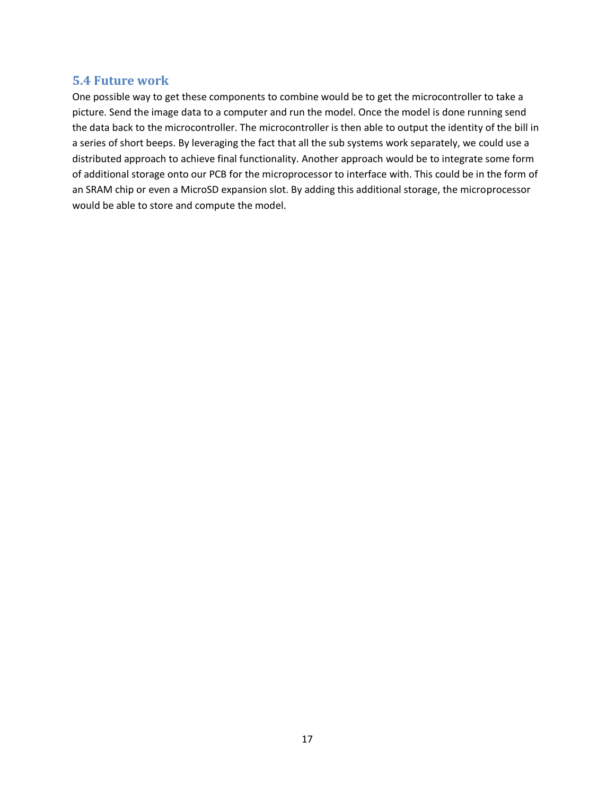### <span id="page-20-0"></span>**5.4 Future work**

One possible way to get these components to combine would be to get the microcontroller to take a picture. Send the image data to a computer and run the model. Once the model is done running send the data back to the microcontroller. The microcontroller is then able to output the identity of the bill in a series of short beeps. By leveraging the fact that all the sub systems work separately, we could use a distributed approach to achieve final functionality. Another approach would be to integrate some form of additional storage onto our PCB for the microprocessor to interface with. This could be in the form of an SRAM chip or even a MicroSD expansion slot. By adding this additional storage, the microprocessor would be able to store and compute the model.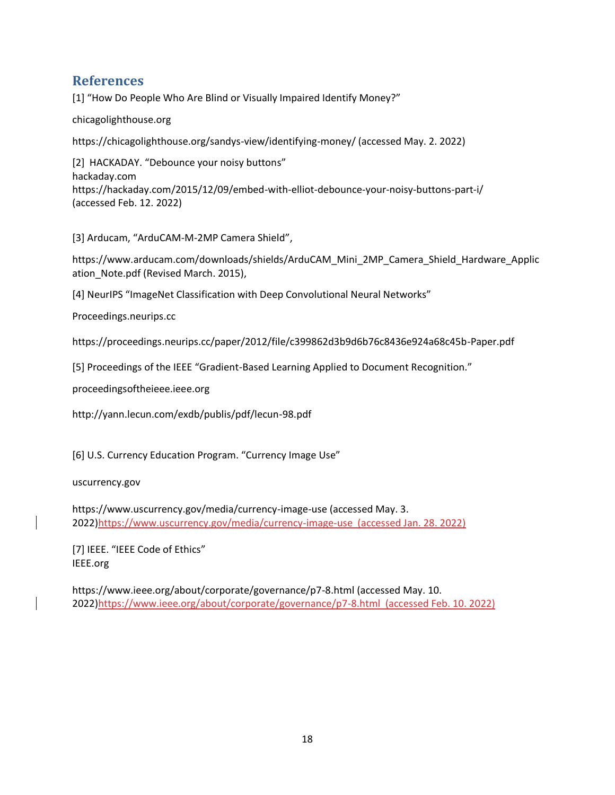### <span id="page-21-0"></span>**References**

[1] "How Do People Who Are Blind or Visually Impaired Identify Money?"

chicagolighthouse.org

https://chicagolighthouse.org/sandys-view/identifying-money/ (accessed May. 2. 2022)

[2] HACKADAY. "Debounce your noisy buttons" hackaday.com https://hackaday.com/2015/12/09/embed-with-elliot-debounce-your-noisy-buttons-part-i/ (accessed Feb. 12. 2022)

[3] Arducam, "ArduCAM-M-2MP Camera Shield",

https://www.arducam.com/downloads/shields/ArduCAM\_Mini\_2MP\_Camera\_Shield\_Hardware\_Applic ation\_Note.pdf (Revised March. 2015),

[4] NeurIPS "ImageNet Classification with Deep Convolutional Neural Networks"

Proceedings.neurips.cc

https://proceedings.neurips.cc/paper/2012/file/c399862d3b9d6b76c8436e924a68c45b-Paper.pdf

[5] Proceedings of the IEEE "Gradient-Based Learning Applied to Document Recognition."

proceedingsoftheieee.ieee.org

http://yann.lecun.com/exdb/publis/pdf/lecun-98.pdf

[6] U.S. Currency Education Program. "Currency Image Use"

uscurrency.gov

https://www.uscurrency.gov/media/currency-image-use (accessed May. 3. 2022)https://www.uscurrency.gov/media/currency-image-use (accessed Jan. 28. 2022)

[7] IEEE. "IEEE Code of Ethics" IEEE.org

https://www.ieee.org/about/corporate/governance/p7-8.html (accessed May. 10. 2022)https://www.ieee.org/about/corporate/governance/p7-8.html (accessed Feb. 10. 2022)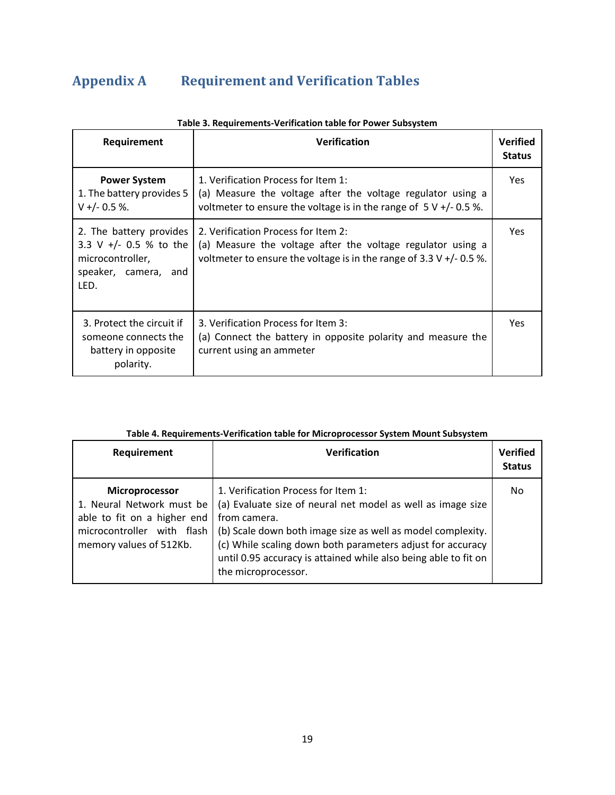# <span id="page-22-0"></span>**Appendix A Requirement and Verification Tables**

| Requirement                                                                                           | <b>Verification</b>                                                                                                                                                                         | <b>Verified</b><br><b>Status</b> |
|-------------------------------------------------------------------------------------------------------|---------------------------------------------------------------------------------------------------------------------------------------------------------------------------------------------|----------------------------------|
| <b>Power System</b><br>1. The battery provides 5<br>$V +/- 0.5 %$                                     | 1. Verification Process for Item 1:<br>(a) Measure the voltage after the voltage regulator using a<br>voltmeter to ensure the voltage is in the range of $5 V +/- 0.5$ %.                   | Yes.                             |
| 2. The battery provides<br>3.3 V +/- 0.5 % to the<br>microcontroller,<br>speaker, camera, and<br>LED. | 2. Verification Process for Item 2:<br>(a) Measure the voltage after the voltage regulator using a<br>voltmeter to ensure the voltage is in the range of $3.3 \text{ V} +/-0.5 \text{ %}$ . | Yes.                             |
| 3. Protect the circuit if<br>someone connects the<br>battery in opposite<br>polarity.                 | 3. Verification Process for Item 3:<br>(a) Connect the battery in opposite polarity and measure the<br>current using an ammeter                                                             | <b>Yes</b>                       |

#### **Table 3. Requirements-Verification table for Power Subsystem**

### **Table 4. Requirements-Verification table for Microprocessor System Mount Subsystem**

| Requirement                                                                                                                         | <b>Verification</b>                                                                                                                                                                                                                                                                                                                       | <b>Verified</b><br><b>Status</b> |
|-------------------------------------------------------------------------------------------------------------------------------------|-------------------------------------------------------------------------------------------------------------------------------------------------------------------------------------------------------------------------------------------------------------------------------------------------------------------------------------------|----------------------------------|
| Microprocessor<br>1. Neural Network must be<br>able to fit on a higher end<br>microcontroller with flash<br>memory values of 512Kb. | 1. Verification Process for Item 1:<br>(a) Evaluate size of neural net model as well as image size<br>from camera.<br>(b) Scale down both image size as well as model complexity.<br>(c) While scaling down both parameters adjust for accuracy<br>until 0.95 accuracy is attained while also being able to fit on<br>the microprocessor. | No                               |